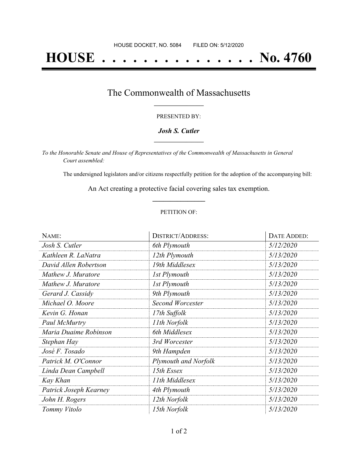## **HOUSE . . . . . . . . . . . . . . . No. 4760**

### The Commonwealth of Massachusetts **\_\_\_\_\_\_\_\_\_\_\_\_\_\_\_\_\_**

#### PRESENTED BY:

#### *Josh S. Cutler* **\_\_\_\_\_\_\_\_\_\_\_\_\_\_\_\_\_**

*To the Honorable Senate and House of Representatives of the Commonwealth of Massachusetts in General Court assembled:*

The undersigned legislators and/or citizens respectfully petition for the adoption of the accompanying bill:

An Act creating a protective facial covering sales tax exemption. **\_\_\_\_\_\_\_\_\_\_\_\_\_\_\_**

#### PETITION OF:

| NAME:                  | <b>DISTRICT/ADDRESS:</b>    | DATE ADDED: |
|------------------------|-----------------------------|-------------|
| Josh S. Cutler         | 6th Plymouth                | 5/12/2020   |
| Kathleen R. LaNatra    | 12th Plymouth               | 5/13/2020   |
| David Allen Robertson  | 19th Middlesex              | 5/13/2020   |
| Mathew J. Muratore     | 1st Plymouth                | 5/13/2020   |
| Mathew J. Muratore     | 1st Plymouth                | 5/13/2020   |
| Gerard J. Cassidy      | 9th Plymouth                | 5/13/2020   |
| Michael O. Moore       | <b>Second Worcester</b>     | 5/13/2020   |
| Kevin G. Honan         | 17th Suffolk                | 5/13/2020   |
| Paul McMurtry          | 11th Norfolk                | 5/13/2020   |
| Maria Duaime Robinson  | 6th Middlesex               | 5/13/2020   |
| Stephan Hay            | 3rd Worcester               | 5/13/2020   |
| José F. Tosado         | 9th Hampden                 | 5/13/2020   |
| Patrick M. O'Connor    | <b>Plymouth and Norfolk</b> | 5/13/2020   |
| Linda Dean Campbell    | 15th Essex                  | 5/13/2020   |
| Kay Khan               | 11th Middlesex              | 5/13/2020   |
| Patrick Joseph Kearney | 4th Plymouth                | 5/13/2020   |
| John H. Rogers         | 12th Norfolk                | 5/13/2020   |
| Tommy Vitolo           | 15th Norfolk                | 5/13/2020   |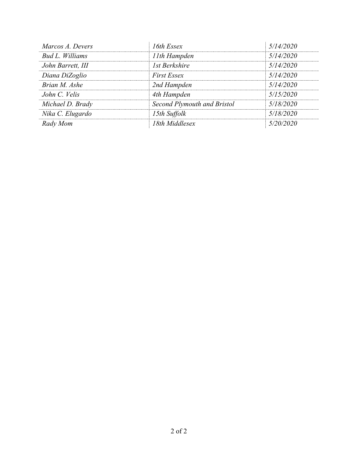| Marcos A. Devers  | 16th Essex                  | 5/14/2020 |
|-------------------|-----------------------------|-----------|
| Bud L. Williams   | 11th Hampden                | 5/14/2020 |
| John Barrett, III | 1st Berkshire               | 5/14/2020 |
| Diana DiZoglio    | <b>First Essex</b>          | 5/14/2020 |
| Brian M. Ashe     | 2nd Hampden                 | 5/14/2020 |
| John C. Velis     | 4th Hampden                 | 5/15/2020 |
| Michael D. Brady  | Second Plymouth and Bristol | 5/18/2020 |
| Nika C. Elugardo  | 15th Suffolk                | 5/18/2020 |
| Rady Mom          | 18th Middlesex              | 5/20/2020 |